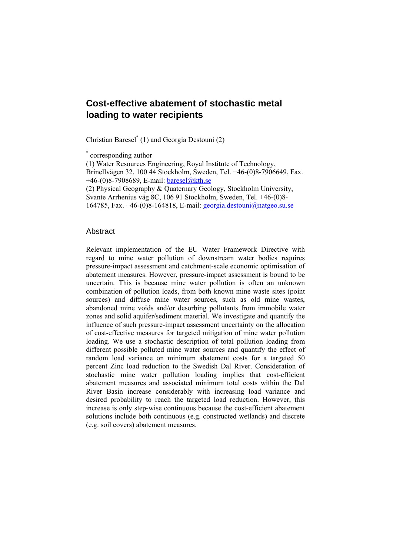# **Cost-effective abatement of stochastic metal loading to water recipients**

Christian Baresel\* (1) and Georgia Destouni (2)

\* corresponding author

(1) Water Resources Engineering, Royal Institute of Technology, Brinellvägen 32, 100 44 Stockholm, Sweden, Tel. +46-(0)8-7906649, Fax. +46-(0)8-7908689, E-mail: baresel@kth.se

(2) Physical Geography & Quaternary Geology, Stockholm University,

Svante Arrhenius väg 8C, 106 91 Stockholm, Sweden, Tel. +46-(0)8-

164785, Fax.  $+46-(0)8-164818$ , E-mail: georgia.destouni@natgeo.su.se

#### **Abstract**

Relevant implementation of the EU Water Framework Directive with regard to mine water pollution of downstream water bodies requires pressure-impact assessment and catchment-scale economic optimisation of abatement measures. However, pressure-impact assessment is bound to be uncertain. This is because mine water pollution is often an unknown combination of pollution loads, from both known mine waste sites (point sources) and diffuse mine water sources, such as old mine wastes, abandoned mine voids and/or desorbing pollutants from immobile water zones and solid aquifer/sediment material. We investigate and quantify the influence of such pressure-impact assessment uncertainty on the allocation of cost-effective measures for targeted mitigation of mine water pollution loading. We use a stochastic description of total pollution loading from different possible polluted mine water sources and quantify the effect of random load variance on minimum abatement costs for a targeted 50 percent Zinc load reduction to the Swedish Dal River. Consideration of stochastic mine water pollution loading implies that cost-efficient abatement measures and associated minimum total costs within the Dal River Basin increase considerably with increasing load variance and desired probability to reach the targeted load reduction. However, this increase is only step-wise continuous because the cost-efficient abatement solutions include both continuous (e.g. constructed wetlands) and discrete (e.g. soil covers) abatement measures.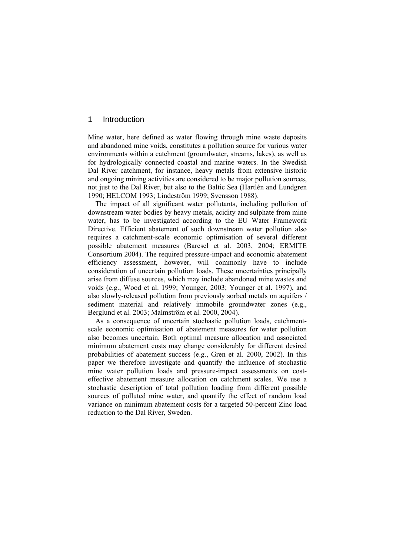## 1 Introduction

Mine water, here defined as water flowing through mine waste deposits and abandoned mine voids, constitutes a pollution source for various water environments within a catchment (groundwater, streams, lakes), as well as for hydrologically connected coastal and marine waters. In the Swedish Dal River catchment, for instance, heavy metals from extensive historic and ongoing mining activities are considered to be major pollution sources, not just to the Dal River, but also to the Baltic Sea (Hartlén and Lundgren 1990; HELCOM 1993; Lindeström 1999; Svensson 1988).

The impact of all significant water pollutants, including pollution of downstream water bodies by heavy metals, acidity and sulphate from mine water, has to be investigated according to the EU Water Framework Directive. Efficient abatement of such downstream water pollution also requires a catchment-scale economic optimisation of several different possible abatement measures (Baresel et al. 2003, 2004; ERMITE Consortium 2004). The required pressure-impact and economic abatement efficiency assessment, however, will commonly have to include consideration of uncertain pollution loads. These uncertainties principally arise from diffuse sources, which may include abandoned mine wastes and voids (e.g., Wood et al. 1999; Younger, 2003; Younger et al. 1997), and also slowly-released pollution from previously sorbed metals on aquifers / sediment material and relatively immobile groundwater zones (e.g., Berglund et al. 2003; Malmström et al. 2000, 2004).

As a consequence of uncertain stochastic pollution loads, catchmentscale economic optimisation of abatement measures for water pollution also becomes uncertain. Both optimal measure allocation and associated minimum abatement costs may change considerably for different desired probabilities of abatement success (e.g., Gren et al. 2000, 2002). In this paper we therefore investigate and quantify the influence of stochastic mine water pollution loads and pressure-impact assessments on costeffective abatement measure allocation on catchment scales. We use a stochastic description of total pollution loading from different possible sources of polluted mine water, and quantify the effect of random load variance on minimum abatement costs for a targeted 50-percent Zinc load reduction to the Dal River, Sweden.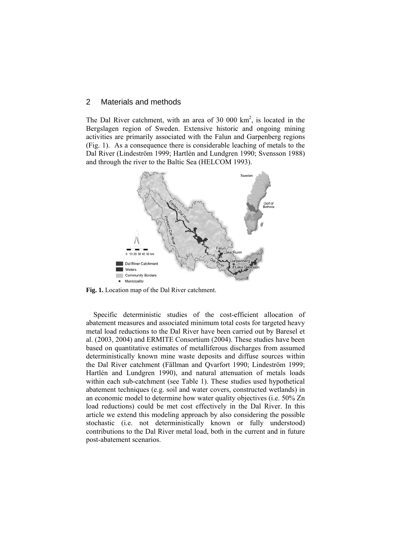## 2 Materials and methods

The Dal River catchment, with an area of 30 000  $km^2$ , is located in the Bergslagen region of Sweden. Extensive historic and ongoing mining activities are primarily associated with the Falun and Garpenberg regions (Fig. 1). As a consequence there is considerable leaching of metals to the Dal River (Lindeström 1999; Hartlén and Lundgren 1990; Svensson 1988) and through the river to the Baltic Sea (HELCOM 1993).



**Fig. 1.** Location map of the Dal River catchment.

Specific deterministic studies of the cost-efficient allocation of abatement measures and associated minimum total costs for targeted heavy metal load reductions to the Dal River have been carried out by Baresel et al. (2003, 2004) and ERMITE Consortium (2004). These studies have been based on quantitative estimates of metalliferous discharges from assumed deterministically known mine waste deposits and diffuse sources within the Dal River catchment (Fällman and Qvarfort 1990; Lindeström 1999; Hartlén and Lundgren 1990), and natural attenuation of metals loads within each sub-catchment (see Table 1). These studies used hypothetical abatement techniques (e.g. soil and water covers, constructed wetlands) in an economic model to determine how water quality objectives (i.e. 50% Zn load reductions) could be met cost effectively in the Dal River. In this article we extend this modeling approach by also considering the possible stochastic (i.e. not deterministically known or fully understood) contributions to the Dal River metal load, both in the current and in future post-abatement scenarios.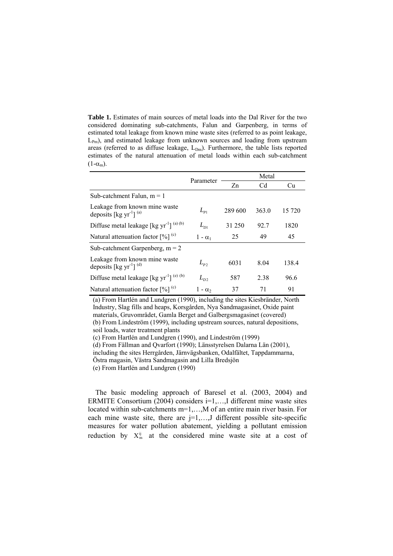**Table 1.** Estimates of main sources of metal loads into the Dal River for the two considered dominating sub-catchments, Falun and Garpenberg, in terms of estimated total leakage from known mine waste sites (referred to as point leakage, L<sub>Pm</sub>), and estimated leakage from unknown sources and loading from upstream areas (referred to as diffuse leakage,  $L_{Dm}$ ). Furthermore, the table lists reported estimates of the natural attenuation of metal loads within each sub-catchment  $(1-\alpha_m)$ .

|                                                                          | Parameter      | Metal   |       |        |
|--------------------------------------------------------------------------|----------------|---------|-------|--------|
|                                                                          |                | Zn      | Cd    | Cu     |
| Sub-catchment Falun, $m = 1$                                             |                |         |       |        |
| Leakage from known mine waste<br>deposits [kg $yr^{-1}$ ] <sup>(a)</sup> | $L_{p_1}$      | 289 600 | 363.0 | 15 720 |
| Diffuse metal leakage [kg $\text{yr}^{-1}$ ] <sup>(a)(b)</sup>           | $L_{D1}$       | 31 250  | 92.7  | 1820   |
| Natural attenuation factor $[\%]$ <sup>(c)</sup>                         | $1 - \alpha_1$ | 25      | 49    | 45     |
| Sub-catchment Garpenberg, $m = 2$                                        |                |         |       |        |
| Leakage from known mine waste<br>deposits [kg $yr^{-1}$ ] <sup>(d)</sup> | $L_{p}$        | 6031    | 8.04  | 138.4  |
| Diffuse metal leakage [kg yr <sup>-1</sup> ] <sup>(e)(b)</sup>           | $L_{D2}$       | 587     | 2.38  | 96.6   |
| Natural attenuation factor $[\%]$ <sup>(c)</sup>                         | $1 - \alpha_2$ | 37      | 71    | 91     |

(a) From Hartlén and Lundgren (1990), including the sites Kiesbränder, North Industry, Slag fills and heaps, Korsgården, Nya Sandmagasinet, Oxide paint materials, Gruvområdet, Gamla Berget and Galbergsmagasinet (covered) (b) From Lindeström (1999), including upstream sources, natural depositions, soil loads, water treatment plants

(c) From Hartlén and Lundgren (1990), and Lindeström (1999)

(d) From Fällman and Qvarfort (1990); Länsstyrelsen Dalarna Län (2001),

including the sites Herrgården, Järnvägsbanken, Odalfältet, Tappdammarna,

Östra magasin, Västra Sandmagasin and Lilla Bredsjön

(e) From Hartlén and Lundgren (1990)

The basic modeling approach of Baresel et al. (2003, 2004) and ERMITE Consortium (2004) considers  $i=1,...,I$  different mine waste sites located within sub-catchments m=1,…,M of an entire main river basin. For each mine waste site, there are  $j=1,\ldots,J$  different possible site-specific measures for water pollution abatement, yielding a pollutant emission reduction by  $X_m^{ij}$  at the considered mine waste site at a cost of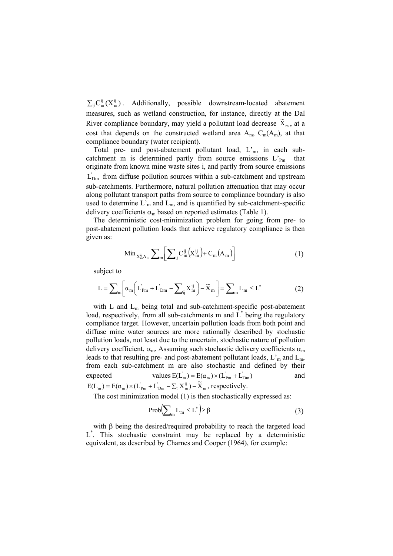$\sum_{ij} C_m^{ij} (X_m^{ij})$ . Additionally, possible downstream-located abatement measures, such as wetland construction, for instance, directly at the Dal River compliance boundary, may yield a pollutant load decrease  $\widetilde{X}_m$ , at a cost that depends on the constructed wetland area  $A_m$ ,  $C_m(A_m)$ , at that compliance boundary (water recipient).

Total pre- and post-abatement pollutant load, L'm, in each subcatchment m is determined partly from source emissions  $L_{Pm}$  that originate from known mine waste sites i, and partly from source emissions ' $L_{\text{Dm}}$  from diffuse pollution sources within a sub-catchment and upstream sub-catchments. Furthermore, natural pollution attenuation that may occur along pollutant transport paths from source to compliance boundary is also used to determine  $L<sub>m</sub>$  and  $L<sub>m</sub>$ , and is quantified by sub-catchment-specific delivery coefficients  $\alpha_m$  based on reported estimates (Table 1).

The deterministic cost-minimization problem for going from pre- to post-abatement pollution loads that achieve regulatory compliance is then given as:

$$
\operatorname{Min}_{X_m^{ij}A_m} \sum\nolimits_m \left[ \sum\nolimits_{ij} C_m^{ij} \left( X_m^{ij} \right) + C_m \left( A_m \right) \right] \tag{1}
$$

subject to

$$
L = \sum_{m} \left[ \alpha_{m} \left( L_{Pm}^{'} + L_{Dm}^{'} - \sum_{ij} X_{m}^{ij} \right) - \widetilde{X}_{m} \right] = \sum_{m} L_{m} \le L^{*}
$$
 (2)

with L and Lm being total and sub-catchment-specific post-abatement load, respectively, from all sub-catchments m and  $\hat{L}^*$  being the regulatory compliance target. However, uncertain pollution loads from both point and diffuse mine water sources are more rationally described by stochastic pollution loads, not least due to the uncertain, stochastic nature of pollution delivery coefficient,  $\alpha_m$ . Assuming such stochastic delivery coefficients  $\alpha_m$ leads to that resulting pre- and post-abatement pollutant loads,  $L<sub>m</sub>$  and  $L<sub>m</sub>$ , from each sub-catchment m are also stochastic and defined by their expected values  $E(L_m) = E(\alpha_m) \times (L_{pm} + L_{bm}$  and  $E(L_m) = E(\alpha_m) \times (L_{pm} + L_{bm} - \sum_{ij} X_{ij}^{ij}) - \widetilde{X}_m$ , respectively.

The cost minimization model (1) is then stochastically expressed as:

$$
Prob\left(\sum_{m} L_{m} \le L^{*}\right) \ge \beta \tag{3}
$$

with β being the desired/required probability to reach the targeted load L\* . This stochastic constraint may be replaced by a deterministic equivalent, as described by Charnes and Cooper (1964), for example: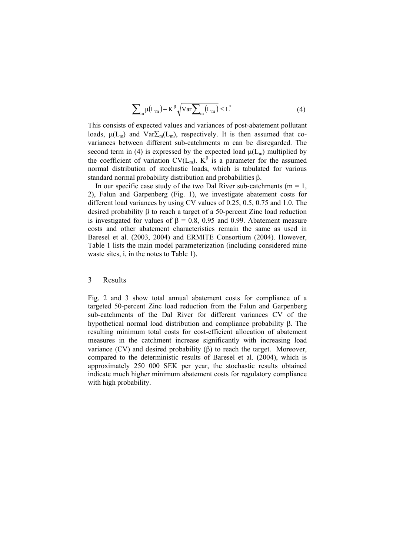$$
\sum_{m} \mu(L_m) + K^{\beta} \sqrt{Var \sum_{m} (L_m)} \le L^* \tag{4}
$$

This consists of expected values and variances of post-abatement pollutant loads,  $\mu(L_m)$  and  $Var\Sigma_m(L_m)$ , respectively. It is then assumed that covariances between different sub-catchments m can be disregarded. The second term in (4) is expressed by the expected load  $\mu(L_m)$  multiplied by the coefficient of variation  $CV(L_m)$ .  $K^{\beta}$  is a parameter for the assumed normal distribution of stochastic loads, which is tabulated for various standard normal probability distribution and probabilities β.

In our specific case study of the two Dal River sub-catchments ( $m = 1$ , 2), Falun and Garpenberg (Fig. 1), we investigate abatement costs for different load variances by using CV values of 0.25, 0.5, 0.75 and 1.0. The desired probability β to reach a target of a 50-percent Zinc load reduction is investigated for values of  $β = 0.8$ , 0.95 and 0.99. Abatement measure costs and other abatement characteristics remain the same as used in Baresel et al. (2003, 2004) and ERMITE Consortium (2004). However, Table 1 lists the main model parameterization (including considered mine waste sites, i, in the notes to Table 1).

#### 3 Results

Fig. 2 and 3 show total annual abatement costs for compliance of a targeted 50-percent Zinc load reduction from the Falun and Garpenberg sub-catchments of the Dal River for different variances CV of the hypothetical normal load distribution and compliance probability β. The resulting minimum total costs for cost-efficient allocation of abatement measures in the catchment increase significantly with increasing load variance (CV) and desired probability (β) to reach the target. Moreover, compared to the deterministic results of Baresel et al. (2004), which is approximately 250 000 SEK per year, the stochastic results obtained indicate much higher minimum abatement costs for regulatory compliance with high probability.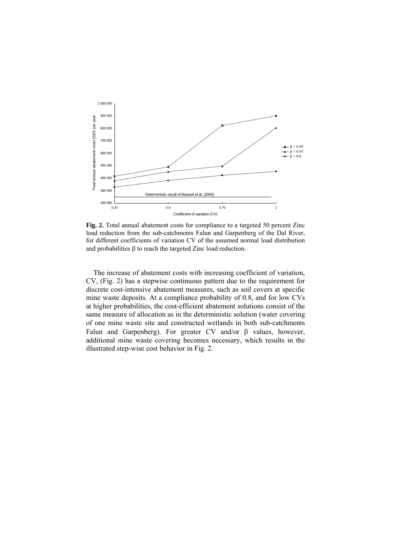

**Fig. 2.** Total annual abatement costs for compliance to a targeted 50 percent Zinc load reduction from the sub-catchments Falun and Garpenberg of the Dal River, for different coefficients of variation CV of the assumed normal load distribution and probabilities  $\beta$  to reach the targeted Zinc load reduction.

The increase of abatement costs with increasing coefficient of variation, CV, (Fig. 2) has a stepwise continuous pattern due to the requirement for discrete cost-intensive abatement measures, such as soil covers at specific mine waste deposits. At a compliance probability of 0.8, and for low CVs at higher probabilities, the cost-efficient abatement solutions consist of the same measure of allocation as in the deterministic solution (water covering of one mine waste site and constructed wetlands in both sub-catchments Falun and Garpenberg). For greater CV and/or β values, however, additional mine waste covering becomes necessary, which results in the illustrated step-wise cost behavior in Fig. 2.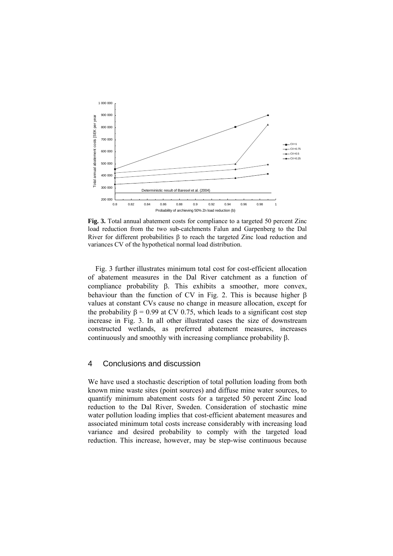

**Fig. 3.** Total annual abatement costs for compliance to a targeted 50 percent Zinc load reduction from the two sub-catchments Falun and Garpenberg to the Dal River for different probabilities β to reach the targeted Zinc load reduction and variances CV of the hypothetical normal load distribution.

Fig. 3 further illustrates minimum total cost for cost-efficient allocation of abatement measures in the Dal River catchment as a function of compliance probability β. This exhibits a smoother, more convex, behaviour than the function of CV in Fig. 2. This is because higher β values at constant CVs cause no change in measure allocation, except for the probability  $\beta = 0.99$  at CV 0.75, which leads to a significant cost step increase in Fig. 3. In all other illustrated cases the size of downstream constructed wetlands, as preferred abatement measures, increases continuously and smoothly with increasing compliance probability β.

### 4 Conclusions and discussion

We have used a stochastic description of total pollution loading from both known mine waste sites (point sources) and diffuse mine water sources, to quantify minimum abatement costs for a targeted 50 percent Zinc load reduction to the Dal River, Sweden. Consideration of stochastic mine water pollution loading implies that cost-efficient abatement measures and associated minimum total costs increase considerably with increasing load variance and desired probability to comply with the targeted load reduction. This increase, however, may be step-wise continuous because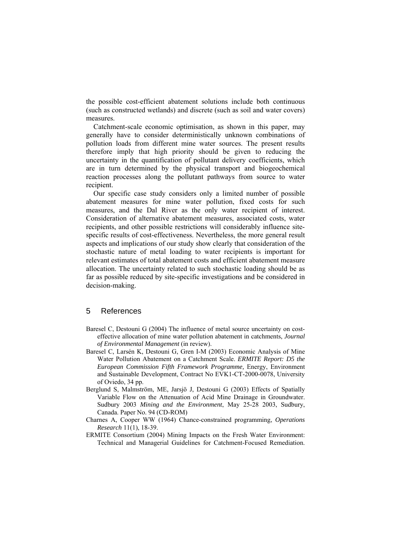the possible cost-efficient abatement solutions include both continuous (such as constructed wetlands) and discrete (such as soil and water covers) measures.

Catchment-scale economic optimisation, as shown in this paper, may generally have to consider deterministically unknown combinations of pollution loads from different mine water sources. The present results therefore imply that high priority should be given to reducing the uncertainty in the quantification of pollutant delivery coefficients, which are in turn determined by the physical transport and biogeochemical reaction processes along the pollutant pathways from source to water recipient.

Our specific case study considers only a limited number of possible abatement measures for mine water pollution, fixed costs for such measures, and the Dal River as the only water recipient of interest. Consideration of alternative abatement measures, associated costs, water recipients, and other possible restrictions will considerably influence sitespecific results of cost-effectiveness. Nevertheless, the more general result aspects and implications of our study show clearly that consideration of the stochastic nature of metal loading to water recipients is important for relevant estimates of total abatement costs and efficient abatement measure allocation. The uncertainty related to such stochastic loading should be as far as possible reduced by site-specific investigations and be considered in decision-making.

## 5 References

- Baresel C, Destouni G (2004) The influence of metal source uncertainty on costeffective allocation of mine water pollution abatement in catchments, *Journal of Environmental Management* (in review).
- Baresel C, Larsén K, Destouni G, Gren I-M (2003) Economic Analysis of Mine Water Pollution Abatement on a Catchment Scale. *ERMITE Report: D5 the European Commission Fifth Framework Programme,* Energy, Environment and Sustainable Development, Contract No EVK1-CT-2000-0078, University of Oviedo, 34 pp.
- Berglund S, Malmström, ME, Jarsjö J, Destouni G (2003) Effects of Spatially Variable Flow on the Attenuation of Acid Mine Drainage in Groundwater. Sudbury 2003 *Mining and the Environment*, May 25-28 2003, Sudbury, Canada. Paper No. 94 (CD-ROM)
- Charnes A, Cooper WW (1964) Chance-constrained programming, *Operations Research* 11(1), 18-39.
- ERMITE Consortium (2004) Mining Impacts on the Fresh Water Environment: Technical and Managerial Guidelines for Catchment-Focused Remediation.